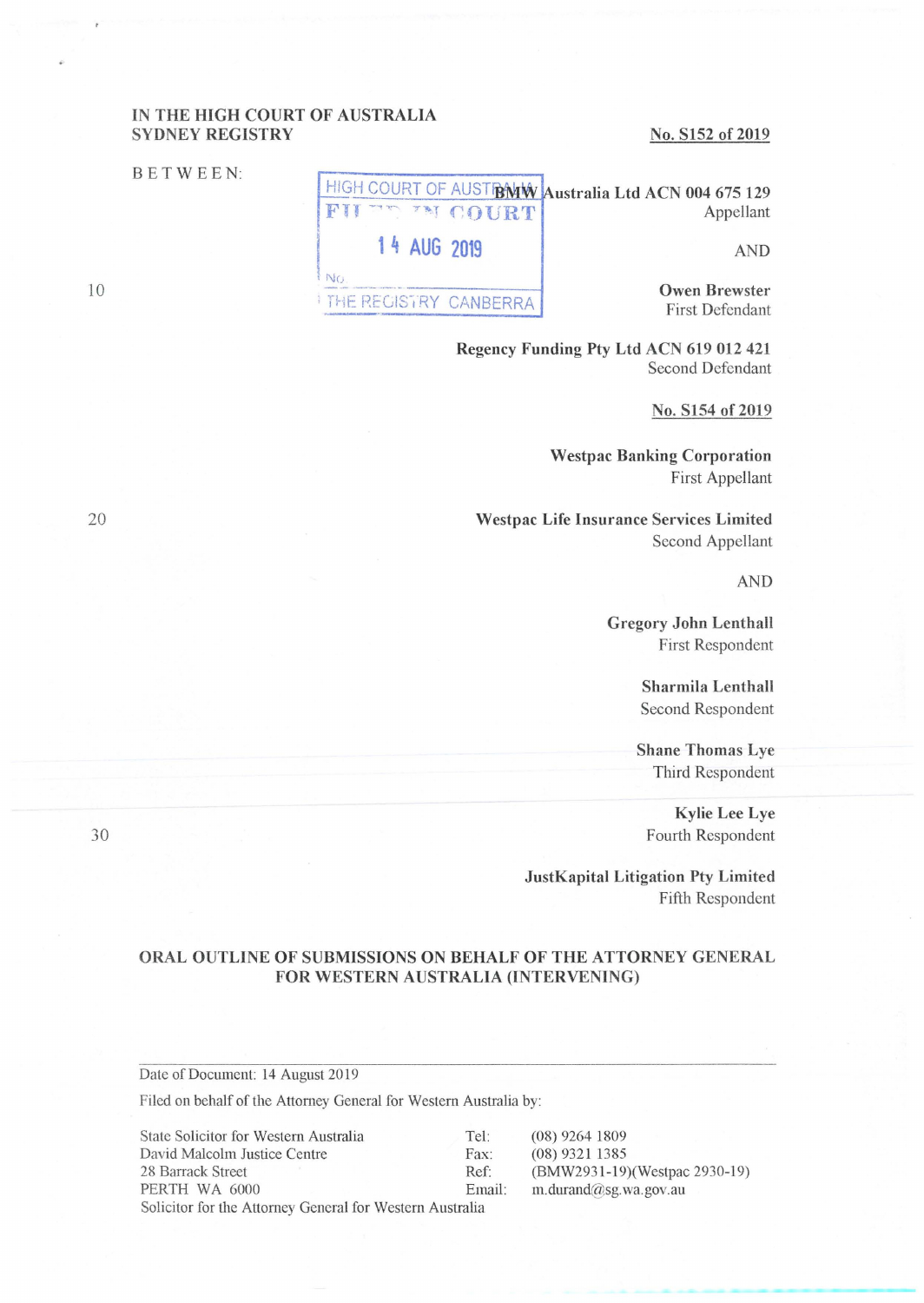# IN THE HIGH COURT OF AUSTRALIA SYDNEY REGISTRY

### BETWEEN:

#### No. S152 of 2019

HIGH COURT OF AUST**BMW Australia Ltd ACN 004 675 129** FIL THE COURT Appellant **1 4 AUG 2019** AND AND

**ENG.**<br> **Owen Brewster OWER DECISION: CANDEDDA** THE REGISTRY CANBERRA First Defendant

> **Regency Funding Pty Ltd ACN 619 012 421**  Second Defendant

#### **No. S154 of 2019**

**Westpac Banking Corporation**  First Appellant

**Westpac Life Insurance Services Limited**  Second Appellant

**AND** 

**Gregory John Lenthall**  First Respondent

> **Sharmila Lenthall**  Second Respondent

**Shane Thomas Lye**  Third Respondent

**Kylie Lee Lye**  Fourth Respondent

-- ---------

**JustKapital Litigation Pty Limited**  Fifth Respondent

## **ORAL OUTLINE OF SUBMISSIONS ON BEHALF OF THE ATTORNEY GENERAL FOR WESTERN AUSTRALIA (INTERVENING)**

Date of Document: 14 August 2019

Filed on behalf of the Attorney General for Western Australia by:

| State Solicitor for Western Australia                    | Tel:   | $(08)$ 9264 1809              |
|----------------------------------------------------------|--------|-------------------------------|
| David Malcolm Justice Centre                             | Fax:   | $(08)$ 9321 1385              |
| 28 Barrack Street                                        | Ref:   | (BMW2931-19)(Westpac 2930-19) |
| PERTH WA 6000                                            | Email: | m.durand@sg.wa.gov.au         |
| Solicitor for the Attorney General for Western Australia |        |                               |

20

10

30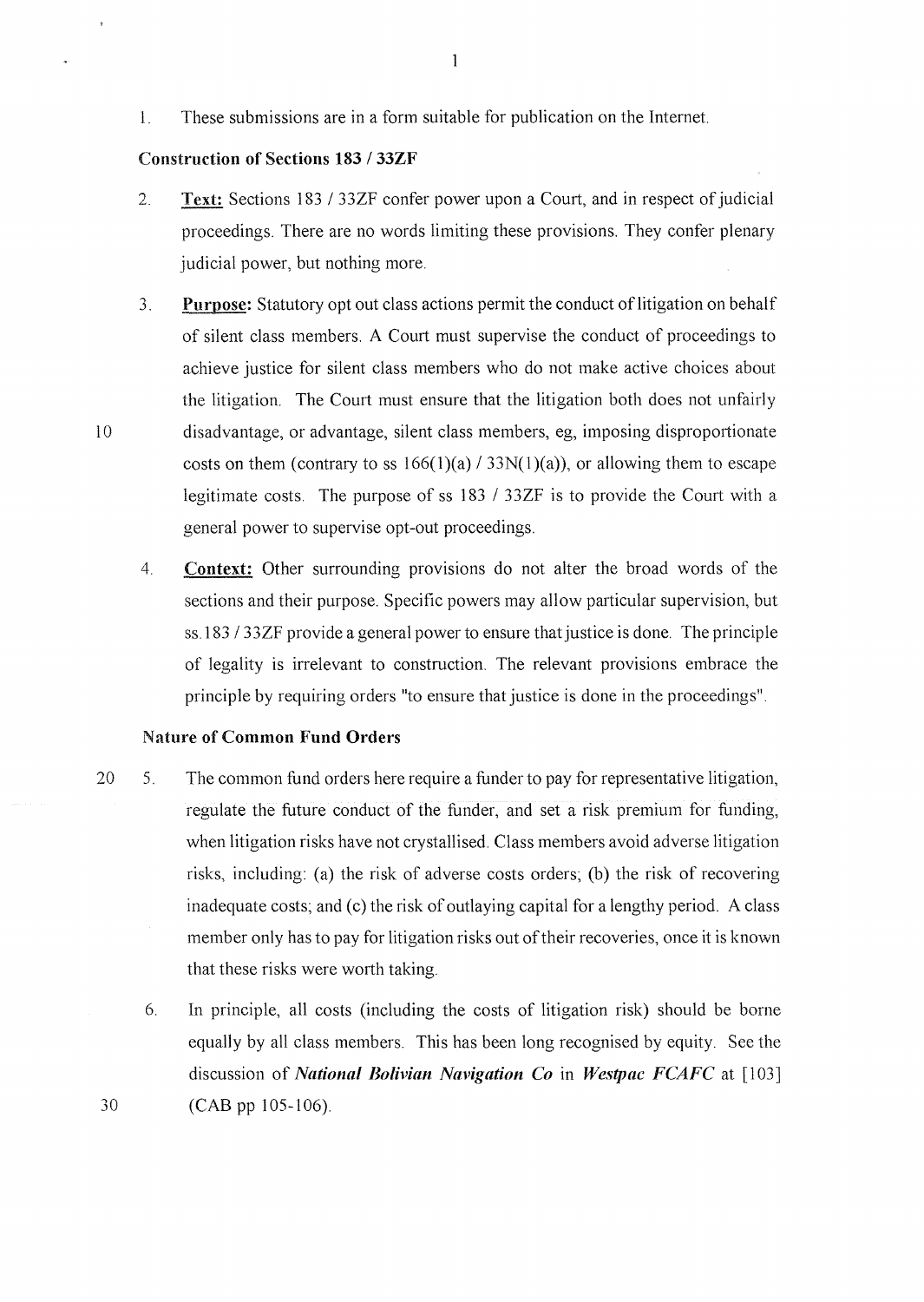1. These submissions are in a form suitable for publication on the Internet.

#### **Construction of Sections 183 / 33ZF**

- 2. **Text:** Sections 183 / 33ZF confer power upon a Court, and in respect of judicial proceedings. There are no words limiting these provisions. They confer plenary judicial power, but nothing more.
- 3. **Purpose:** Statutory opt out class actions permit the conduct oflitigation on behalf of silent class members. A Court must supervise the conduct of proceedings to achieve justice for silent class members who do not make active choices about the litigation. The Court must ensure that the litigation both does not unfairly l O disadvantage, or advantage, silent class members, eg, imposing disproportionate costs on them (contrary to ss  $166(1)(a) / 33N(1)(a)$ ), or allowing them to escape legitimate costs. The purpose of ss 183 / 33ZF is to provide the Court with a general power to supervise opt-out proceedings.
	- 4. **Context:** Other surrounding provisions do not alter the broad words of the sections and their purpose. Specific powers may allow particular supervision, but ss.183 / 33ZF provide a general power to ensure that justice is done. The principle of legality is irrelevant to construction. The relevant provisions embrace the principle by requiring orders "to ensure that justice is done in the proceedings".

### **Nature of Common Fund Orders**

- 20 5. The common fund orders here require a funder to pay for representative litigation, regulate the future conduct of the funder, and set a risk premium for funding, when litigation risks have not crystallised. Class members avoid adverse litigation risks, including: (a) the risk of adverse costs orders; (b) the risk of recovering inadequate costs; and (c) the risk of outlaying capital for a lengthy period. A class member only has to pay for litigation risks out of their recoveries, once it is known that these risks were worth taking.
	- 6. In principle, all costs (including the costs of litigation risk) should be borne equally by all class members. This has been long recognised by equity. See the discussion of *National Bolivian Navigation Co* in *Westpac FCAFC* at [103] (CAB pp 105-106).

30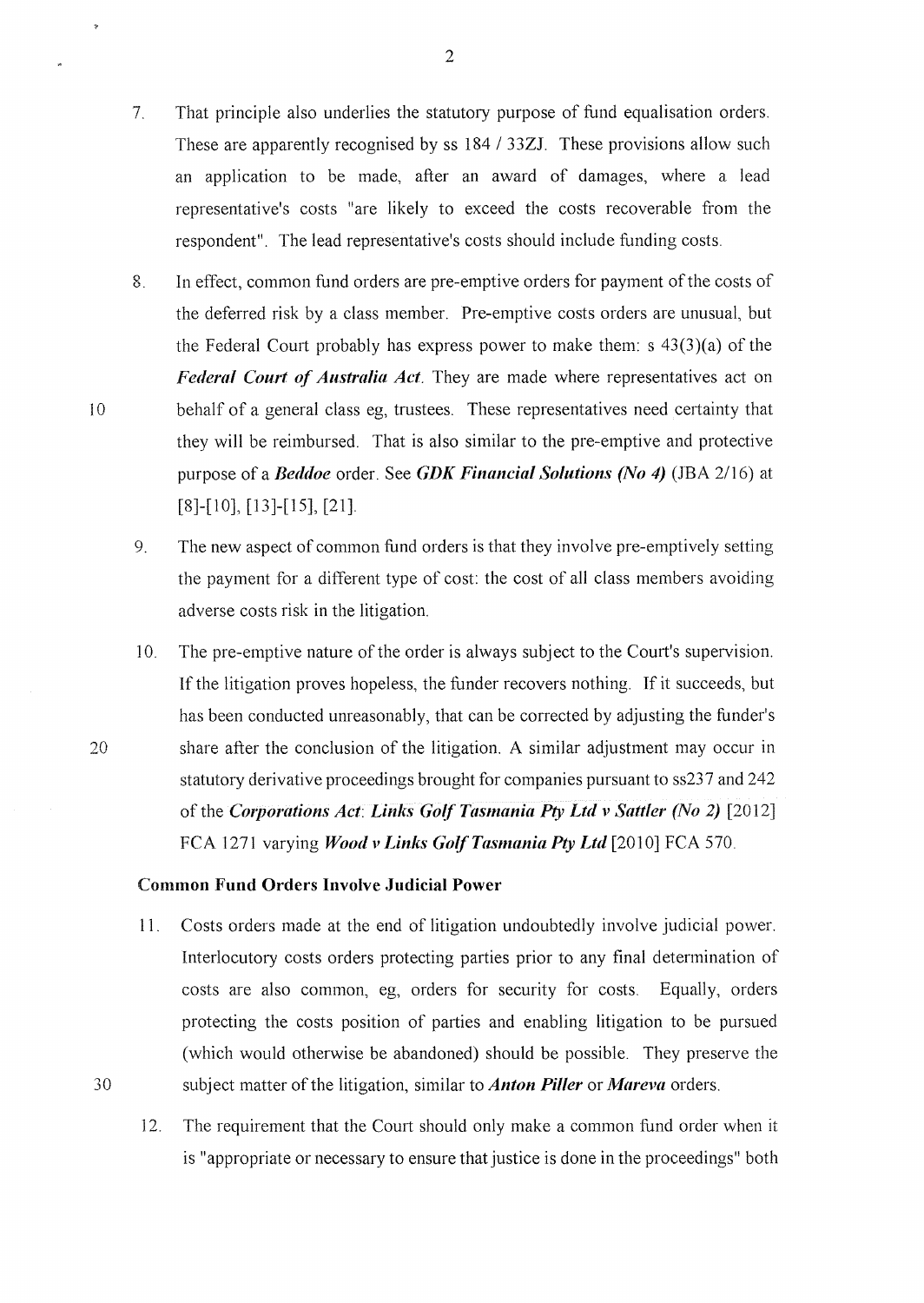- 7. That principle also underlies the statutory purpose of fund equalisation orders. These are apparently recognised by ss 184 / 33ZJ. These provisions allow such an application to be made, after an award of damages, where a lead representative's costs "are likely to exceed the costs recoverable from the respondent". The lead representative's costs should include funding costs.
- 8. In effect, common fund orders are pre-emptive orders for payment of the costs of the deferred risk by a class member. Pre-emptive costs orders are unusual, but the Federal Court probably has express power to make them: s  $43(3)(a)$  of the *Federal Court of Australia Act.* They are made where representatives act on behalf of a general class eg, trustees. These representatives need certainty that they will be reimbursed. That is also similar to the pre-emptive and protective purpose of a *Beddoe* order. See *GDK Financial Solutions (No 4)* (JBA 2/16) at [8]-[10], [13]-[15], [21].
- 9. The new aspect of common fund orders is that they involve pre-emptively setting the payment for a different type of cost: the cost of all class members avoiding adverse costs risk in the litigation.
- 10. The pre-emptive nature of the order is always subject to the Court's supervision. If the litigation proves hopeless, the funder recovers nothing. If it succeeds, but has been conducted unreasonably, that can be corrected by adjusting the funder's 20 share after the conclusion of the litigation. A similar adjustment may occur in statutory derivative proceedings brought for companies pursuant to ss237 and 242 of the *Corporations Act: Links Golf Tasmania Pty Ltd v Sattler (No* 2) [2012] FCA 1271 varying *Wood v Links Golf Tasmania Pty Ltd* [2010] FCA 570.

### **Common Fund Orders Involve Judicial Power**

- 11. Costs orders made at the end of litigation undoubtedly involve judicial power. Interlocutory costs orders protecting parties prior to any final determination of costs are also common, eg, orders for security for costs. Equally, orders protecting the costs position of parties and enabling litigation to be pursued (which would otherwise be abandoned) should be possible. They preserve the 30 subject matter of the litigation, similar to *Anton Piller* **or** *Mareva* orders.
	- 12. The requirement that the Court should only make a common fund order when it is "appropriate or necessary to ensure that justice is done in the proceedings" both

10

 $\ddot{\phantom{0}}$